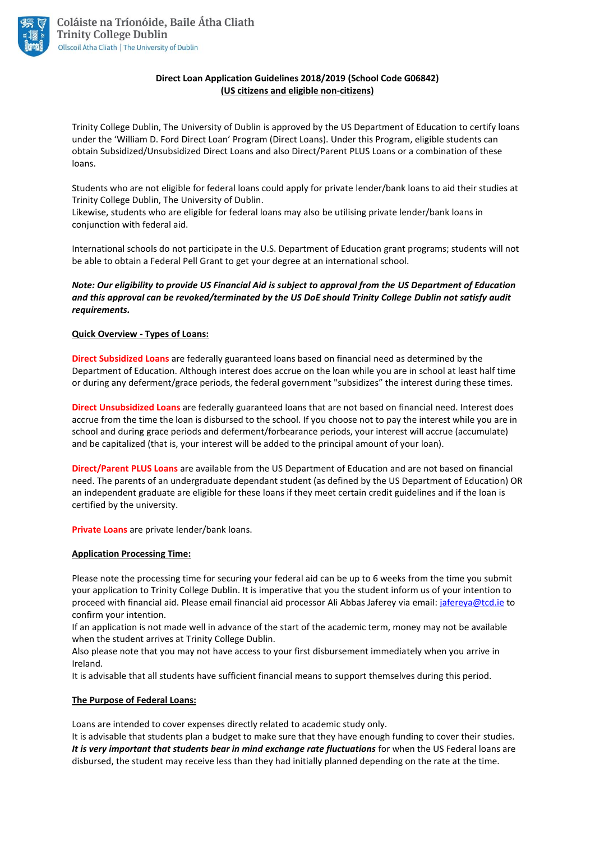

## **Direct Loan Application Guidelines 2018/2019 (School Code G06842) (US citizens and eligible non-citizens)**

Trinity College Dublin, The University of Dublin is approved by the US Department of Education to certify loans under the 'William D. Ford Direct Loan' Program (Direct Loans). Under this Program, eligible students can obtain Subsidized/Unsubsidized Direct Loans and also Direct/Parent PLUS Loans or a combination of these loans.

Students who are not eligible for federal loans could apply for private lender/bank loans to aid their studies at Trinity College Dublin, The University of Dublin.

Likewise, students who are eligible for federal loans may also be utilising private lender/bank loans in conjunction with federal aid.

International schools do not participate in the U.S. Department of Education grant programs; students will not be able to obtain a Federal Pell Grant to get your degree at an international school.

## *Note: Our eligibility to provide US Financial Aid is subject to approval from the US Department of Education and this approval can be revoked/terminated by the US DoE should Trinity College Dublin not satisfy audit requirements.*

#### **Quick Overview - Types of Loans:**

**Direct Subsidized Loans** are federally guaranteed loans based on financial need as determined by the Department of Education. Although interest does accrue on the loan while you are in school at least half time or during any deferment/grace periods, the federal government "subsidizes" the interest during these times.

**Direct Unsubsidized Loans** are federally guaranteed loans that are not based on financial need. Interest does accrue from the time the loan is disbursed to the school. If you choose not to pay the interest while you are in school and during grace periods and deferment/forbearance periods, your interest will accrue (accumulate) and be capitalized (that is, your interest will be added to the principal amount of your loan).

**Direct/Parent PLUS Loans** are available from the US Department of Education and are not based on financial need. The parents of an undergraduate dependant student (as defined by the US Department of Education) OR an independent graduate are eligible for these loans if they meet certain credit guidelines and if the loan is certified by the university.

**Private Loans** are private lender/bank loans.

#### **Application Processing Time:**

Please note the processing time for securing your federal aid can be up to 6 weeks from the time you submit your application to Trinity College Dublin. It is imperative that you the student inform us of your intention to proceed with financial aid. Please email financial aid processor Ali Abbas Jaferey via email: [jafereya@tcd.ie](mailto:jafereya@tcd.ie) to confirm your intention.

If an application is not made well in advance of the start of the academic term, money may not be available when the student arrives at Trinity College Dublin.

Also please note that you may not have access to your first disbursement immediately when you arrive in Ireland.

It is advisable that all students have sufficient financial means to support themselves during this period.

#### **The Purpose of Federal Loans:**

Loans are intended to cover expenses directly related to academic study only.

It is advisable that students plan a budget to make sure that they have enough funding to cover their studies. *It is very important that students bear in mind exchange rate fluctuations* for when the US Federal loans are disbursed, the student may receive less than they had initially planned depending on the rate at the time.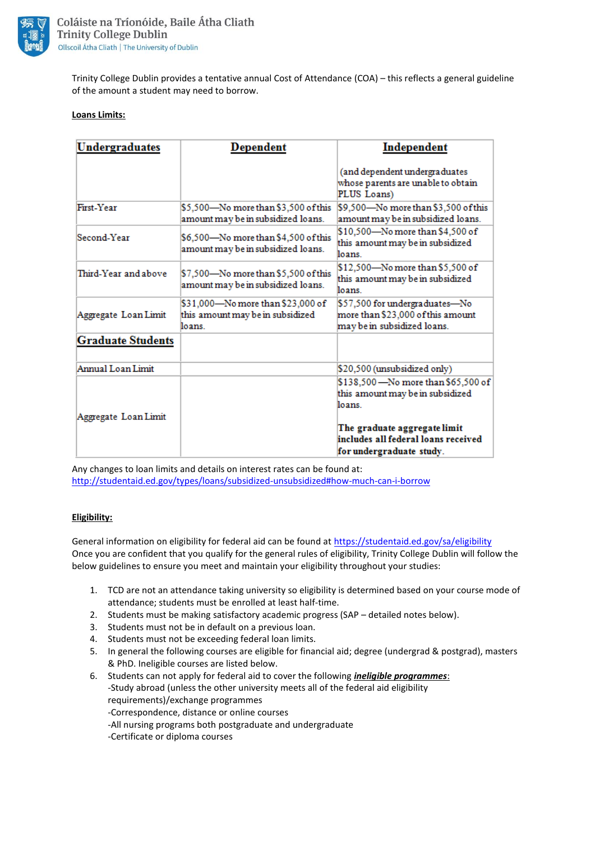

Trinity College Dublin provides a tentative annual Cost of Attendance (COA) – this reflects a general guideline of the amount a student may need to borrow.

#### **Loans Limits:**

| Undergraduates           | <b>Dependent</b>                                                                | Independent                                                                                        |
|--------------------------|---------------------------------------------------------------------------------|----------------------------------------------------------------------------------------------------|
|                          |                                                                                 | (and dependent undergraduates<br>whose parents are unable to obtain<br>PLUS Loans)                 |
| First <sub>-Year</sub>   | \$5,500—No more than \$3,500 of this<br>amount may be in subsidized loans.      | \$9,500—No more than \$3,500 of this<br>amount may be in subsidized loans.                         |
| Second-Year              | \$6,500—No more than \$4,500 of this<br>amount may be in subsidized loans.      | \$10,500-No more than \$4,500 of<br>this amount may be in subsidized<br>loans.                     |
| Third-Year and above     | \$7,500—No more than \$5,500 of this<br>amount may be in subsidized loans.      | \$12,500—No more than \$5,500 of<br>this amount may be in subsidized<br>loans.                     |
| Aggregate Loan Limit     | \$31,000—No more than \$23,000 of<br>this amount may be in subsidized<br>loans. | \$57,500 for undergraduates—No<br>more than \$23,000 of this amount<br>may be in subsidized loans. |
| <b>Graduate Students</b> |                                                                                 |                                                                                                    |
| Annual Loan Limit        |                                                                                 | \$20,500 (unsubsidized only)                                                                       |
| Aggregate Loan Limit     |                                                                                 | \$138,500 - No more than \$65,500 of<br>this amount may be in subsidized<br>loans.                 |
|                          |                                                                                 | The graduate aggregate limit<br>includes all federal loans received<br>for undergraduate study.    |

Any changes to loan limits and details on interest rates can be found at: <http://studentaid.ed.gov/types/loans/subsidized-unsubsidized#how-much-can-i-borrow>

#### **Eligibility:**

General information on eligibility for federal aid can be found at<https://studentaid.ed.gov/sa/eligibility> Once you are confident that you qualify for the general rules of eligibility, Trinity College Dublin will follow the below guidelines to ensure you meet and maintain your eligibility throughout your studies:

- 1. TCD are not an attendance taking university so eligibility is determined based on your course mode of attendance; students must be enrolled at least half-time.
- 2. Students must be making satisfactory academic progress (SAP detailed notes below).
- 3. Students must not be in default on a previous loan.
- 4. Students must not be exceeding federal loan limits.
- 5. In general the following courses are eligible for financial aid; degree (undergrad & postgrad), masters & PhD. Ineligible courses are listed below.
- 6. Students can not apply for federal aid to cover the following *ineligible programmes*: -Study abroad (unless the other university meets all of the federal aid eligibility requirements)/exchange programmes
	- -Correspondence, distance or online courses
	- -All nursing programs both postgraduate and undergraduate
	- -Certificate or diploma courses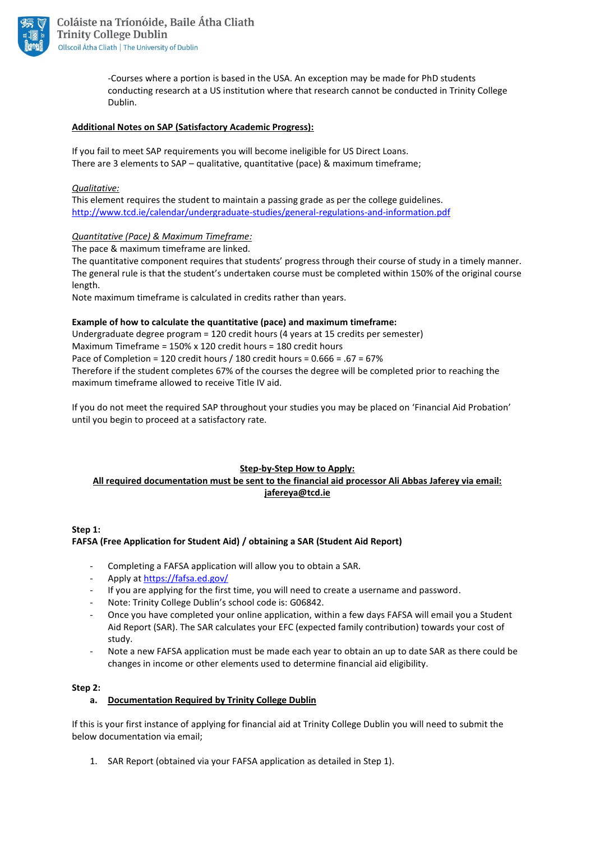

-Courses where a portion is based in the USA. An exception may be made for PhD students conducting research at a US institution where that research cannot be conducted in Trinity College Dublin.

#### **Additional Notes on SAP (Satisfactory Academic Progress):**

If you fail to meet SAP requirements you will become ineligible for US Direct Loans. There are 3 elements to SAP – qualitative, quantitative (pace) & maximum timeframe;

#### *Qualitative:*

This element requires the student to maintain a passing grade as per the college guidelines. <http://www.tcd.ie/calendar/undergraduate-studies/general-regulations-and-information.pdf>

## *Quantitative (Pace) & Maximum Timeframe:*

The pace & maximum timeframe are linked.

The quantitative component requires that students' progress through their course of study in a timely manner. The general rule is that the student's undertaken course must be completed within 150% of the original course length.

Note maximum timeframe is calculated in credits rather than years.

## **Example of how to calculate the quantitative (pace) and maximum timeframe:**

Undergraduate degree program = 120 credit hours (4 years at 15 credits per semester) Maximum Timeframe = 150% x 120 credit hours = 180 credit hours Pace of Completion = 120 credit hours / 180 credit hours = 0.666 = .67 = 67% Therefore if the student completes 67% of the courses the degree will be completed prior to reaching the maximum timeframe allowed to receive Title IV aid.

If you do not meet the required SAP throughout your studies you may be placed on 'Financial Aid Probation' until you begin to proceed at a satisfactory rate.

## **Step-by-Step How to Apply: All required documentation must be sent to the financial aid processor Ali Abbas Jaferey via email: [jafereya@tcd.ie](mailto:jafereya@tcd.ie)**

## **Step 1:**

## **FAFSA (Free Application for Student Aid) / obtaining a SAR (Student Aid Report)**

- Completing a FAFSA application will allow you to obtain a SAR.
- Apply at<https://fafsa.ed.gov/>
- If you are applying for the first time, you will need to create a username and password.
- Note: Trinity College Dublin's school code is: G06842.
- Once you have completed your online application, within a few days FAFSA will email you a Student Aid Report (SAR). The SAR calculates your EFC (expected family contribution) towards your cost of study.
- Note a new FAFSA application must be made each year to obtain an up to date SAR as there could be changes in income or other elements used to determine financial aid eligibility.

#### **Step 2:**

#### **a. Documentation Required by Trinity College Dublin**

If this is your first instance of applying for financial aid at Trinity College Dublin you will need to submit the below documentation via email;

1. SAR Report (obtained via your FAFSA application as detailed in Step 1).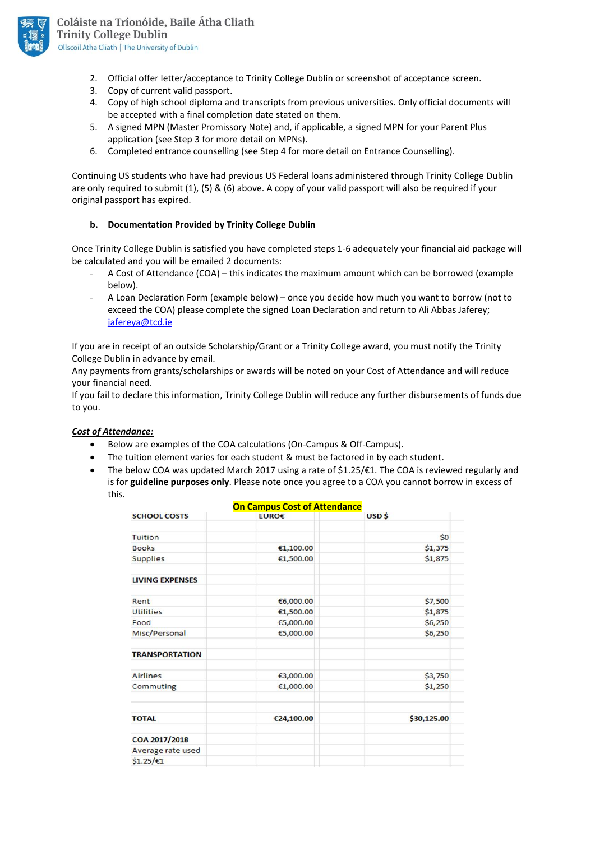

- 2. Official offer letter/acceptance to Trinity College Dublin or screenshot of acceptance screen.
- 3. Copy of current valid passport.
- 4. Copy of high school diploma and transcripts from previous universities. Only official documents will be accepted with a final completion date stated on them.
- 5. A signed MPN (Master Promissory Note) and, if applicable, a signed MPN for your Parent Plus application (see Step 3 for more detail on MPNs).
- 6. Completed entrance counselling (see Step 4 for more detail on Entrance Counselling).

Continuing US students who have had previous US Federal loans administered through Trinity College Dublin are only required to submit (1), (5) & (6) above. A copy of your valid passport will also be required if your original passport has expired.

## **b. Documentation Provided by Trinity College Dublin**

Once Trinity College Dublin is satisfied you have completed steps 1-6 adequately your financial aid package will be calculated and you will be emailed 2 documents:

- A Cost of Attendance (COA) this indicates the maximum amount which can be borrowed (example below).
- A Loan Declaration Form (example below) once you decide how much you want to borrow (not to exceed the COA) please complete the signed Loan Declaration and return to Ali Abbas Jaferey; [jafereya@tcd.ie](mailto:jafereya@tcd.ie)

If you are in receipt of an outside Scholarship/Grant or a Trinity College award, you must notify the Trinity College Dublin in advance by email.

Any payments from grants/scholarships or awards will be noted on your Cost of Attendance and will reduce your financial need.

If you fail to declare this information, Trinity College Dublin will reduce any further disbursements of funds due to you.

#### *Cost of Attendance:*

- Below are examples of the COA calculations (On-Campus & Off-Campus).
- The tuition element varies for each student & must be factored in by each student.
- The below COA was updated March 2017 using a rate of \$1.25/€1. The COA is reviewed regularly and is for **guideline purposes only**. Please note once you agree to a COA you cannot borrow in excess of this.

| <b>On Campus Cost of Attendance</b> |            |                   |  |  |
|-------------------------------------|------------|-------------------|--|--|
| <b>SCHOOL COSTS</b>                 | EURO€      | USD <sub>\$</sub> |  |  |
| Tuition                             |            | \$0               |  |  |
| <b>Books</b>                        | €1,100.00  | \$1,375           |  |  |
| <b>Supplies</b>                     | €1,500.00  | \$1,875           |  |  |
| <b>LIVING EXPENSES</b>              |            |                   |  |  |
| Rent                                | €6,000.00  | \$7,500           |  |  |
| <b>Utilities</b>                    | €1,500.00  | \$1,875           |  |  |
| Food                                | €5,000.00  | \$6,250           |  |  |
| Misc/Personal                       | €5,000.00  | \$6,250           |  |  |
| <b>TRANSPORTATION</b>               |            |                   |  |  |
| <b>Airlines</b>                     | €3,000.00  | \$3,750           |  |  |
| Commuting                           | €1,000.00  | \$1,250           |  |  |
| <b>TOTAL</b>                        | €24,100.00 | \$30,125.00       |  |  |
| COA 2017/2018                       |            |                   |  |  |
| Average rate used                   |            |                   |  |  |
| $$1.25/\text{€1}$                   |            |                   |  |  |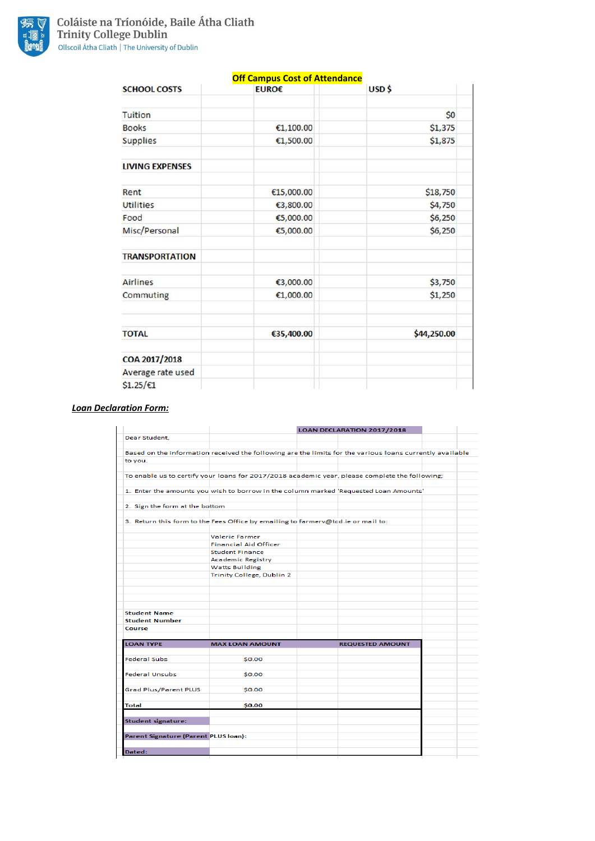

|                        | <b>Off Campus Cost of Attendance</b> |             |  |  |  |
|------------------------|--------------------------------------|-------------|--|--|--|
| <b>SCHOOL COSTS</b>    | EURO€                                | USD\$       |  |  |  |
| <b>Tuition</b>         |                                      | \$0         |  |  |  |
| <b>Books</b>           | €1,100.00                            | \$1,375     |  |  |  |
| <b>Supplies</b>        | €1,500.00                            | \$1,875     |  |  |  |
| <b>LIVING EXPENSES</b> |                                      |             |  |  |  |
| Rent                   | €15,000.00                           | \$18,750    |  |  |  |
| <b>Utilities</b>       | €3,800.00                            | \$4,750     |  |  |  |
| Food                   | €5,000.00                            | \$6,250     |  |  |  |
| Misc/Personal          | €5,000.00                            | \$6,250     |  |  |  |
| <b>TRANSPORTATION</b>  |                                      |             |  |  |  |
| <b>Airlines</b>        | €3,000.00                            | \$3,750     |  |  |  |
| Commuting              | €1,000.00                            | \$1,250     |  |  |  |
| <b>TOTAL</b>           | €35,400.00                           | \$44,250.00 |  |  |  |
| COA 2017/2018          |                                      |             |  |  |  |
| Average rate used      |                                      |             |  |  |  |
| $$1.25/\epsilon1$      |                                      |             |  |  |  |

# *Loan Declaration Form:*

|                                             |                                                                                                          | <b>LOAN DECLARATION 2017/2018</b> |                         |  |
|---------------------------------------------|----------------------------------------------------------------------------------------------------------|-----------------------------------|-------------------------|--|
| Dear Student,                               |                                                                                                          |                                   |                         |  |
|                                             |                                                                                                          |                                   |                         |  |
|                                             | Based on the information received the following are the limits for the various loans currently available |                                   |                         |  |
| to you.                                     |                                                                                                          |                                   |                         |  |
|                                             |                                                                                                          |                                   |                         |  |
|                                             | To enable us to certify your loans for 2017/2018 academic year, please complete the following;           |                                   |                         |  |
|                                             |                                                                                                          |                                   |                         |  |
|                                             | 1. Enter the amounts you wish to borrow in the column marked 'Requested Loan Amounts'                    |                                   |                         |  |
|                                             |                                                                                                          |                                   |                         |  |
| 2. Sign the form at the bottom              |                                                                                                          |                                   |                         |  |
|                                             |                                                                                                          |                                   |                         |  |
|                                             | 3. Return this form to the Fees Office by emailing to farmerv@tcd.ie or mail to:                         |                                   |                         |  |
|                                             |                                                                                                          |                                   |                         |  |
|                                             | <b>Valerie Farmer</b>                                                                                    |                                   |                         |  |
|                                             | <b>Financial Aid Officer</b>                                                                             |                                   |                         |  |
|                                             | <b>Student Finance</b>                                                                                   |                                   |                         |  |
|                                             | <b>Academic Registry</b>                                                                                 |                                   |                         |  |
|                                             | <b>Watts Building</b>                                                                                    |                                   |                         |  |
|                                             | Trinity College, Dublin 2                                                                                |                                   |                         |  |
|                                             |                                                                                                          |                                   |                         |  |
|                                             |                                                                                                          |                                   |                         |  |
|                                             |                                                                                                          |                                   |                         |  |
|                                             |                                                                                                          |                                   |                         |  |
| <b>Student Name</b>                         |                                                                                                          |                                   |                         |  |
| <b>Student Number</b>                       |                                                                                                          |                                   |                         |  |
| Course                                      |                                                                                                          |                                   |                         |  |
|                                             |                                                                                                          |                                   |                         |  |
| <b>LOAN TYPE</b>                            | <b>MAX LOAN AMOUNT</b>                                                                                   |                                   | <b>REQUESTED AMOUNT</b> |  |
|                                             |                                                                                                          |                                   |                         |  |
| <b>Federal Subs</b>                         | \$0.00                                                                                                   |                                   |                         |  |
|                                             |                                                                                                          |                                   |                         |  |
| <b>Federal Unsubs</b>                       | \$0.00                                                                                                   |                                   |                         |  |
|                                             |                                                                                                          |                                   |                         |  |
| <b>Grad Plus/Parent PLUS</b>                | \$0.00                                                                                                   |                                   |                         |  |
|                                             |                                                                                                          |                                   |                         |  |
| <b>Total</b>                                | \$0.00                                                                                                   |                                   |                         |  |
|                                             |                                                                                                          |                                   |                         |  |
|                                             |                                                                                                          |                                   |                         |  |
| <b>Student signature:</b>                   |                                                                                                          |                                   |                         |  |
|                                             |                                                                                                          |                                   |                         |  |
| <b>Parent Signature (Parent PLUS loan):</b> |                                                                                                          |                                   |                         |  |
|                                             |                                                                                                          |                                   |                         |  |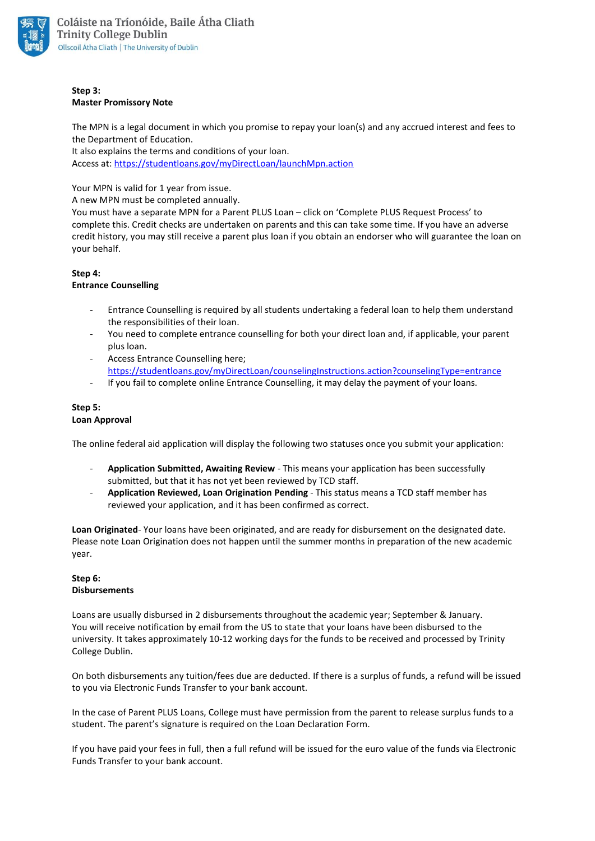

#### **Step 3: Master Promissory Note**

The MPN is a legal document in which you promise to repay your loan(s) and any accrued interest and fees to the Department of Education.

It also explains the terms and conditions of your loan. Access at: <https://studentloans.gov/myDirectLoan/launchMpn.action>

Your MPN is valid for 1 year from issue.

A new MPN must be completed annually.

You must have a separate MPN for a Parent PLUS Loan – click on 'Complete PLUS Request Process' to complete this. Credit checks are undertaken on parents and this can take some time. If you have an adverse credit history, you may still receive a parent plus loan if you obtain an endorser who will guarantee the loan on your behalf.

## **Step 4:**

#### **Entrance Counselling**

- Entrance Counselling is required by all students undertaking a federal loan to help them understand the responsibilities of their loan.
- You need to complete entrance counselling for both your direct loan and, if applicable, your parent plus loan.
- Access Entrance Counselling here: <https://studentloans.gov/myDirectLoan/counselingInstructions.action?counselingType=entrance>
- If you fail to complete online Entrance Counselling, it may delay the payment of your loans.

#### **Step 5: Loan Approval**

The online federal aid application will display the following two statuses once you submit your application:

- **Application Submitted, Awaiting Review** This means your application has been successfully submitted, but that it has not yet been reviewed by TCD staff.
- **Application Reviewed, Loan Origination Pending** This status means a TCD staff member has reviewed your application, and it has been confirmed as correct.

**Loan Originated**- Your loans have been originated, and are ready for disbursement on the designated date. Please note Loan Origination does not happen until the summer months in preparation of the new academic year.

# **Step 6: Disbursements**

Loans are usually disbursed in 2 disbursements throughout the academic year; September & January. You will receive notification by email from the US to state that your loans have been disbursed to the university. It takes approximately 10-12 working days for the funds to be received and processed by Trinity College Dublin.

On both disbursements any tuition/fees due are deducted. If there is a surplus of funds, a refund will be issued to you via Electronic Funds Transfer to your bank account.

In the case of Parent PLUS Loans, College must have permission from the parent to release surplus funds to a student. The parent's signature is required on the Loan Declaration Form.

If you have paid your fees in full, then a full refund will be issued for the euro value of the funds via Electronic Funds Transfer to your bank account.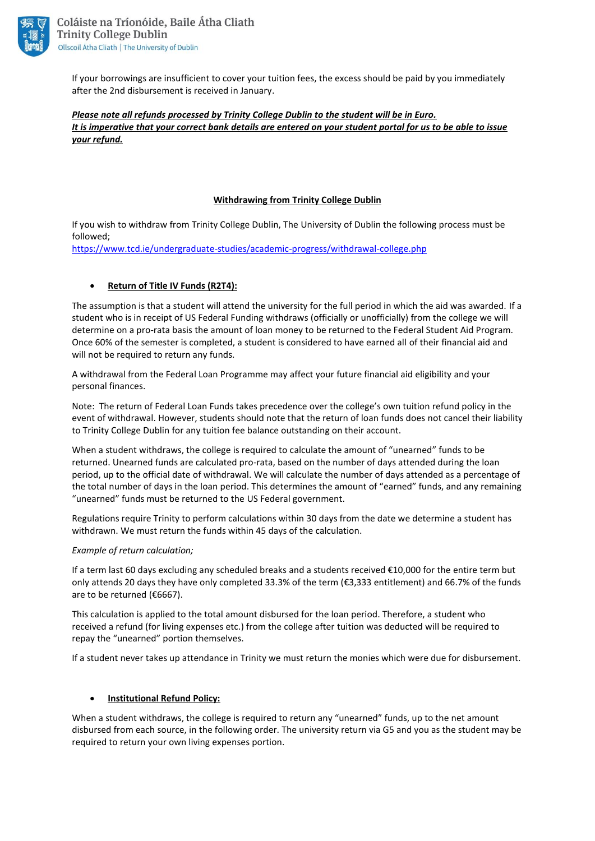

If your borrowings are insufficient to cover your tuition fees, the excess should be paid by you immediately after the 2nd disbursement is received in January.

*Please note all refunds processed by Trinity College Dublin to the student will be in Euro. It is imperative that your correct bank details are entered on your student portal for us to be able to issue your refund.* 

## **Withdrawing from Trinity College Dublin**

If you wish to withdraw from Trinity College Dublin, The University of Dublin the following process must be followed;

<https://www.tcd.ie/undergraduate-studies/academic-progress/withdrawal-college.php>

## **Return of Title IV Funds (R2T4):**

The assumption is that a student will attend the university for the full period in which the aid was awarded. If a student who is in receipt of US Federal Funding withdraws (officially or unofficially) from the college we will determine on a pro-rata basis the amount of loan money to be returned to the Federal Student Aid Program. Once 60% of the semester is completed, a student is considered to have earned all of their financial aid and will not be required to return any funds.

A withdrawal from the Federal Loan Programme may affect your future financial aid eligibility and your personal finances.

Note: The return of Federal Loan Funds takes precedence over the college's own tuition refund policy in the event of withdrawal. However, students should note that the return of loan funds does not cancel their liability to Trinity College Dublin for any tuition fee balance outstanding on their account.

When a student withdraws, the college is required to calculate the amount of "unearned" funds to be returned. Unearned funds are calculated pro-rata, based on the number of days attended during the loan period, up to the official date of withdrawal. We will calculate the number of days attended as a percentage of the total number of days in the loan period. This determines the amount of "earned" funds, and any remaining "unearned" funds must be returned to the US Federal government.

Regulations require Trinity to perform calculations within 30 days from the date we determine a student has withdrawn. We must return the funds within 45 days of the calculation.

#### *Example of return calculation;*

If a term last 60 days excluding any scheduled breaks and a students received €10,000 for the entire term but only attends 20 days they have only completed 33.3% of the term (€3,333 entitlement) and 66.7% of the funds are to be returned (€6667).

This calculation is applied to the total amount disbursed for the loan period. Therefore, a student who received a refund (for living expenses etc.) from the college after tuition was deducted will be required to repay the "unearned" portion themselves.

If a student never takes up attendance in Trinity we must return the monies which were due for disbursement.

#### **Institutional Refund Policy:**

When a student withdraws, the college is required to return any "unearned" funds, up to the net amount disbursed from each source, in the following order. The university return via G5 and you as the student may be required to return your own living expenses portion.